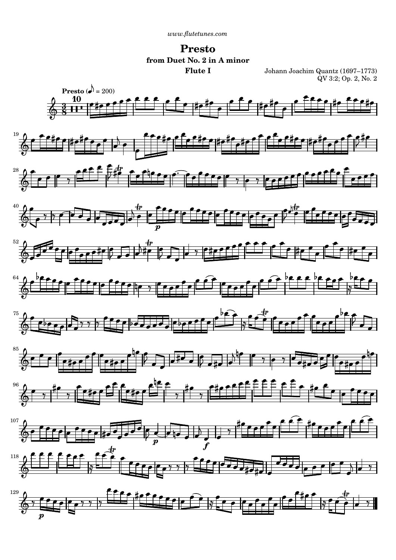**Presto from Duet No. 2 in A minor**

**Flute I** Johann Joachim Quantz (1697–1773) QV 3:2; Op. 2, No. 2



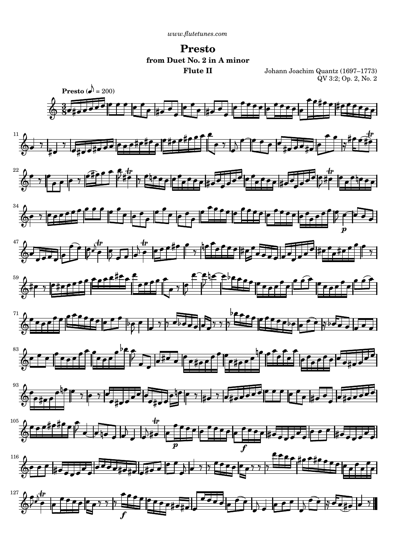**Presto from Duet No. 2 in A minor**

**Flute II** Johann Joachim Quantz (1697–1773) QV 3:2; Op. 2, No. 2



f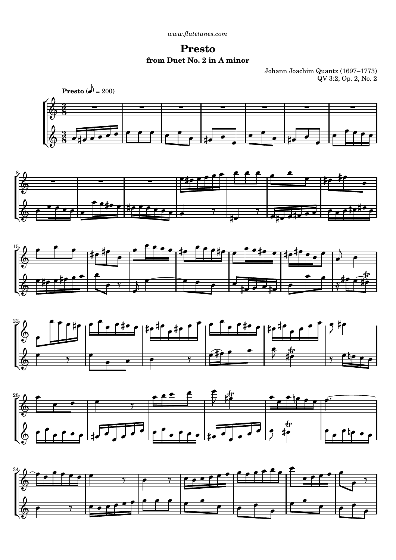**Presto from Duet No. 2 in A minor**

Johann Joachim Quantz (1697–1773) QV 3:2; Op. 2, No. 2











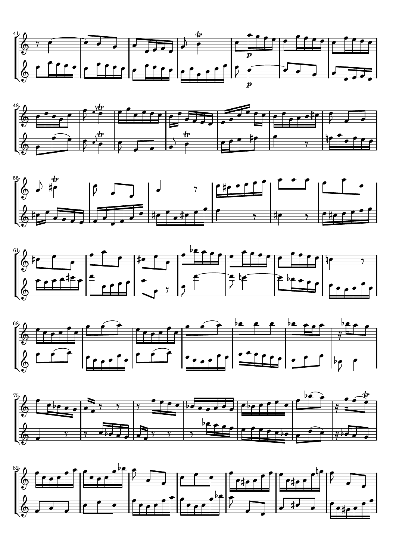